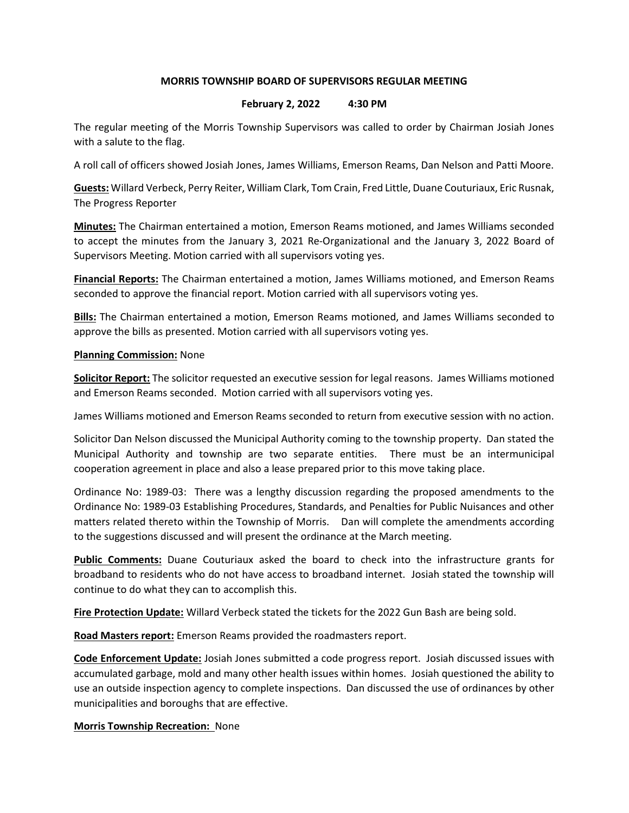## MORRIS TOWNSHIP BOARD OF SUPERVISORS REGULAR MEETING

## February 2, 2022 4:30 PM

The regular meeting of the Morris Township Supervisors was called to order by Chairman Josiah Jones with a salute to the flag.

A roll call of officers showed Josiah Jones, James Williams, Emerson Reams, Dan Nelson and Patti Moore.

Guests: Willard Verbeck, Perry Reiter, William Clark, Tom Crain, Fred Little, Duane Couturiaux, Eric Rusnak, The Progress Reporter

Minutes: The Chairman entertained a motion, Emerson Reams motioned, and James Williams seconded to accept the minutes from the January 3, 2021 Re-Organizational and the January 3, 2022 Board of Supervisors Meeting. Motion carried with all supervisors voting yes.

Financial Reports: The Chairman entertained a motion, James Williams motioned, and Emerson Reams seconded to approve the financial report. Motion carried with all supervisors voting yes.

Bills: The Chairman entertained a motion, Emerson Reams motioned, and James Williams seconded to approve the bills as presented. Motion carried with all supervisors voting yes.

## **Planning Commission: None**

Solicitor Report: The solicitor requested an executive session for legal reasons. James Williams motioned and Emerson Reams seconded. Motion carried with all supervisors voting yes.

James Williams motioned and Emerson Reams seconded to return from executive session with no action.

Solicitor Dan Nelson discussed the Municipal Authority coming to the township property. Dan stated the Municipal Authority and township are two separate entities. There must be an intermunicipal cooperation agreement in place and also a lease prepared prior to this move taking place.

Ordinance No: 1989-03: There was a lengthy discussion regarding the proposed amendments to the Ordinance No: 1989-03 Establishing Procedures, Standards, and Penalties for Public Nuisances and other matters related thereto within the Township of Morris. Dan will complete the amendments according to the suggestions discussed and will present the ordinance at the March meeting.

Public Comments: Duane Couturiaux asked the board to check into the infrastructure grants for broadband to residents who do not have access to broadband internet. Josiah stated the township will continue to do what they can to accomplish this.

Fire Protection Update: Willard Verbeck stated the tickets for the 2022 Gun Bash are being sold.

Road Masters report: Emerson Reams provided the roadmasters report.

Code Enforcement Update: Josiah Jones submitted a code progress report. Josiah discussed issues with accumulated garbage, mold and many other health issues within homes. Josiah questioned the ability to use an outside inspection agency to complete inspections. Dan discussed the use of ordinances by other municipalities and boroughs that are effective.

**Morris Township Recreation: None**